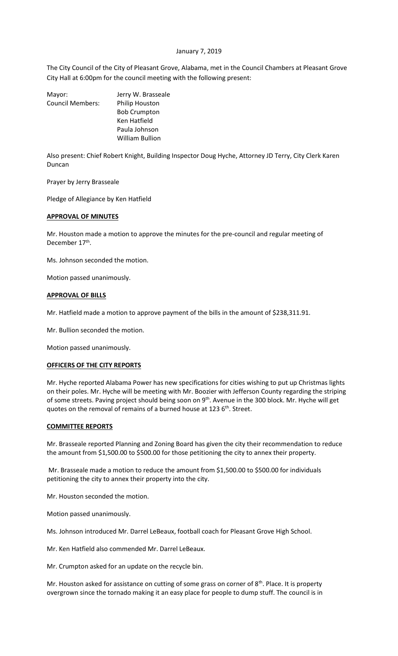## January 7, 2019

The City Council of the City of Pleasant Grove, Alabama, met in the Council Chambers at Pleasant Grove City Hall at 6:00pm for the council meeting with the following present:

| Mayor:                  | Jerry W. Brasseale    |
|-------------------------|-----------------------|
| <b>Council Members:</b> | <b>Philip Houston</b> |
|                         | <b>Bob Crumpton</b>   |
|                         | Ken Hatfield          |
|                         | Paula Johnson         |
|                         | William Bullion       |
|                         |                       |

Also present: Chief Robert Knight, Building Inspector Doug Hyche, Attorney JD Terry, City Clerk Karen Duncan

Prayer by Jerry Brasseale

Pledge of Allegiance by Ken Hatfield

### **APPROVAL OF MINUTES**

Mr. Houston made a motion to approve the minutes for the pre-council and regular meeting of December 17<sup>th</sup>.

Ms. Johnson seconded the motion.

Motion passed unanimously.

## **APPROVAL OF BILLS**

Mr. Hatfield made a motion to approve payment of the bills in the amount of \$238,311.91.

Mr. Bullion seconded the motion.

Motion passed unanimously.

#### **OFFICERS OF THE CITY REPORTS**

Mr. Hyche reported Alabama Power has new specifications for cities wishing to put up Christmas lights on their poles. Mr. Hyche will be meeting with Mr. Boozier with Jefferson County regarding the striping of some streets. Paving project should being soon on 9<sup>th</sup>. Avenue in the 300 block. Mr. Hyche will get quotes on the removal of remains of a burned house at 123 6<sup>th</sup>. Street.

#### **COMMITTEE REPORTS**

Mr. Brasseale reported Planning and Zoning Board has given the city their recommendation to reduce the amount from \$1,500.00 to \$500.00 for those petitioning the city to annex their property.

Mr. Brasseale made a motion to reduce the amount from \$1,500.00 to \$500.00 for individuals petitioning the city to annex their property into the city.

Mr. Houston seconded the motion.

Motion passed unanimously.

Ms. Johnson introduced Mr. Darrel LeBeaux, football coach for Pleasant Grove High School.

Mr. Ken Hatfield also commended Mr. Darrel LeBeaux.

Mr. Crumpton asked for an update on the recycle bin.

Mr. Houston asked for assistance on cutting of some grass on corner of  $8<sup>th</sup>$ . Place. It is property overgrown since the tornado making it an easy place for people to dump stuff. The council is in